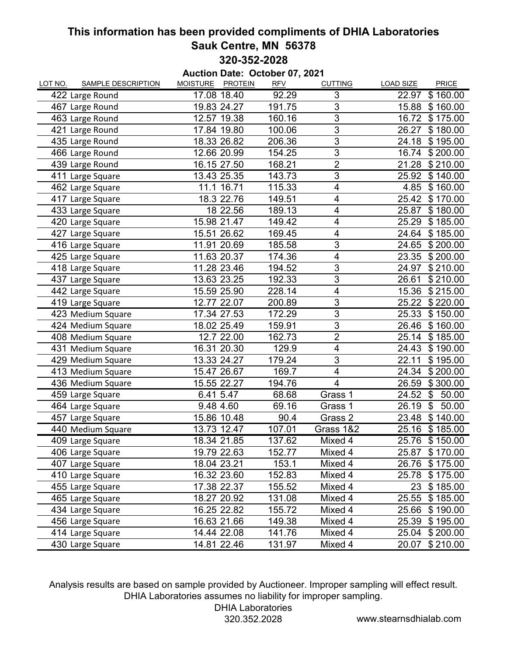## **This information has been provided compliments of DHIA Laboratories Sauk Centre, MN 56378 320-352-2028**

**Auction Date: October 07, 2021** LOT NO. SAMPLE DESCRIPTION MOISTURE PROTEIN RFV CUTTING LOAD SIZE PRICE 422 Large Round 17.08 18.40 92.29 3 22.97 \$160.00 467 Large Round 19.83 24.27 191.75 3 15.88 160.00 \$ 463 Large Round 12.57 19.38 160.16 3 16.72 \$175.00 421 Large Round 17.84 19.80 100.06 3 26.27 \$180.00 435 Large Round 18.33 26.82 206.36 3 24.18 \$195.00 466 Large Round 12.66 20.99 154.25 3 16.74 \$200.00 439 Large Round 16.15 27.50 168.21 2 21.28 \$210.00 411 Large Square 13.43 25.35 143.73 3 25.92 \$140.00 462 Large Square 11.1 16.71 115.33 4 4.85 \$160.00 417 Large Square **18.3 22.76** 149.51 4 25.42 \$170.00 433 Large Square 18 22.56 189.13 4 25.87 \$180.00 420 Large Square 15.98 21.47 149.42 4 25.29 \$185.00 427 Large Square 15.51 26.62 169.45 4 24.64 \$185.00 416 Large Square 11.91 20.69 185.58 3 24.65 \$200.00 425 Large Square 11.63 20.37 174.36 4 23.35 \$200.00 418 Large Square 11.28 23.46 194.52 3 24.97 \$ 210.00 437 Large Square 13.63 23.25 192.33 3 26.61 \$210.00 442 Large Square 15.59 25.90 228.14 4 15.36 \$215.00 419 Large Square 12.77 22.07 200.89 3 25.22 \$220.00 423 Medium Square 17.34 27.53 172.29 3 25.33 \$150.00 424 Medium Square 18.02 25.49 159.91 3 26.46 \$160.00 408 Medium Square **12.7 22.00** 162.73 2 25.14 \$185.00 431 Medium Square 16.31 20.30 129.9 4 24.43 \$190.00 429 Medium Square 13.33 24.27 179.24 3 22.11 \$195.00 413 Medium Square 15.47 26.67 169.7 4 24.34 \$200.00 436 Medium Square 15.55 22.27 194.76 4 26.59 \$300.00 459 Large Square 6.41 5.47 68.68 Grass 1 24.52 \$ 50.00 464 Large Square **9.48 4.60** 69.16 Grass 1 26.19 \$ 50.00 457 Large Square 15.86 10.48 90.4 Grass 2 23.48 \$140.00 440 Medium Square **13.73 12.47** 107.01 Grass 1&2 25.16 \$185.00 409 Large Square 18.34 21.85 137.62 Mixed 4 25.76 \$150.00 406 Large Square 19.79 22.63 152.77 Mixed 4 25.87 \$170.00 407 Large Square 18.04 23.21 153.1 Mixed 4 26.76 \$175.00 410 Large Square 16.32 23.60 152.83 Mixed 4 25.78 \$175.00 455 Large Square 17.38 22.37 155.52 Mixed 4 23 \$185.00 465 Large Square 18.27 20.92 131.08 Mixed 4 25.55 \$185.00 434 Large Square 16.25 22.82 155.72 Mixed 4 25.66 \$190.00 456 Large Square 16.63 21.66 149.38 Mixed 4 25.39 \$195.00 414 Large Square **14.44 22.08** 141.76 Mixed 4 25.04 \$200.00 430 Large Square 14.81 22.46 131.97 Mixed 4 20.07 \$ 210.00

Analysis results are based on sample provided by Auctioneer. Improper sampling will effect result. DHIA Laboratories assumes no liability for improper sampling.

DHIA Laboratories